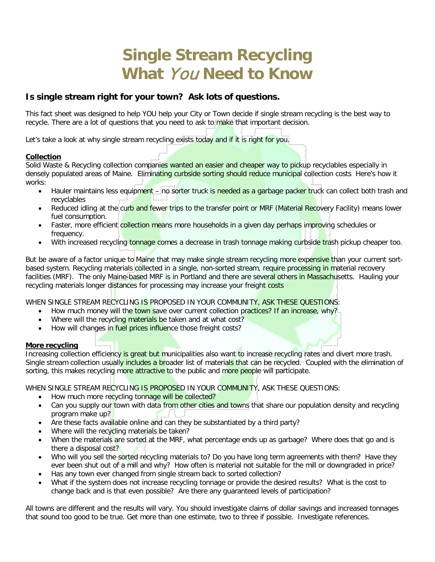# **Single Stream Recycling What** You **Need to Know**

# **Is single stream right for your town? Ask lots of questions.**

This fact sheet was designed to help YOU help your City or Town decide if single stream recycling is the best way to recycle. There are a lot of questions that you need to ask to make that important decision.

Let's take a look at why single stream recycling exists today and if it is right for you.

# **Collection**

Solid Waste & Recycling collection companies wanted an easier and cheaper way to pickup recyclables especially in densely populated areas of Maine. Eliminating curbside sorting should reduce municipal collection costs Here's how it works:

- Hauler maintains less equipment no sorter truck is needed as a garbage packer truck can collect both trash and recyclables
- Reduced idling at the curb and fewer trips to the transfer point or MRF (Material Recovery Facility) means lower fuel consumption.
- Faster, more efficient collection means more households in a given day perhaps improving schedules or frequency.
- With increased recycling tonnage comes a decrease in trash tonnage making curbside trash pickup cheaper too.

But be aware of a factor unique to Maine that may make single stream recycling more expensive than your current sortbased system. Recycling materials collected in a single, non-sorted stream, require processing in material recovery facilities (MRF). The only Maine-based MRF is in Portland and there are several others in Massachusetts. Hauling your recycling materials longer distances for processing may increase your freight costs

WHEN SINGLE STREAM RECYCLING IS PROPOSED IN YOUR COMMUNITY, ASK THESE QUESTIONS:

- How much money will the town save over current collection practices? If an increase, why?
- Where will the recycling materials be taken and at what cost?
- How will changes in fuel prices influence those freight costs?

# **More recycling**

Increasing collection efficiency is great but municipalities also want to increase recycling rates and divert more trash. Single stream collection usually includes a broader list of materials that can be recycled. Coupled with the elimination of sorting, this makes recycling more attractive to the public and more people will participate.

WHEN SINGLE STREAM RECYCLING IS PROPOSED IN YOUR COMMUNITY, ASK THESE QUESTIONS:

- How much more recycling tonnage will be collected?
- Can you supply our town with data from other cities and towns that share our population density and recycling program make up?
- Are these facts available online and can they be substantiated by a third party?
- Where will the recycling materials be taken?
- When the materials are sorted at the MRF, what percentage ends up as garbage? Where does that go and is there a disposal cost?
- Who will you sell the sorted recycling materials to? Do you have long term agreements with them? Have they ever been shut out of a mill and why? How often is material not suitable for the mill or downgraded in price?
- Has any town ever changed from single stream back to sorted collection?
- What if the system does not increase recycling tonnage or provide the desired results? What is the cost to change back and is that even possible? Are there any guaranteed levels of participation?

All towns are different and the results will vary. You should investigate claims of dollar savings and increased tonnages that sound too good to be true. Get more than one estimate, two to three if possible. Investigate references.